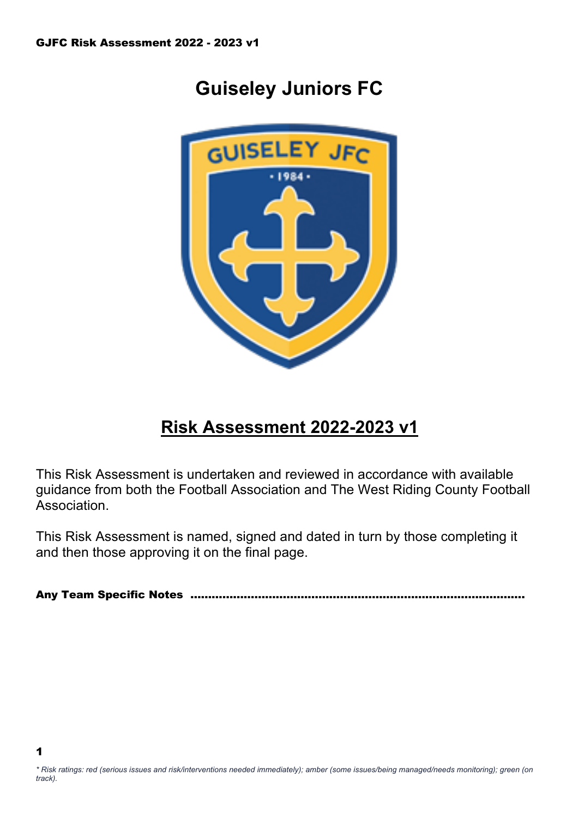1

# **Guiseley Juniors FC**



## **Risk Assessment 2022-2023 v1**

This Risk Assessment is undertaken and reviewed in accordance with available guidance from both the Football Association and The West Riding County Football Association.

This Risk Assessment is named, signed and dated in turn by those completing it and then those approving it on the final page.

Any Team Specific Notes ………………………………………………………………………………….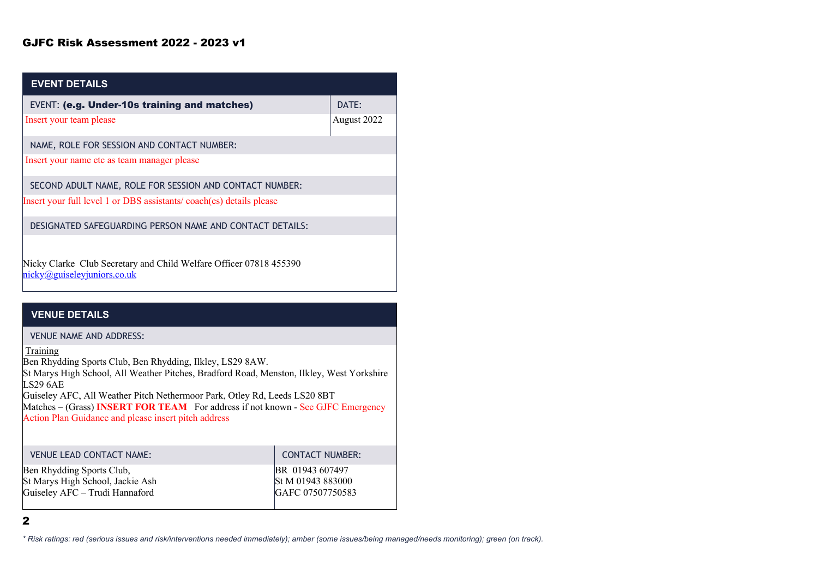| <b>EVENT DETAILS</b>                                                                              |             |
|---------------------------------------------------------------------------------------------------|-------------|
| <b>EVENT: (e.g. Under-10s training and matches)</b>                                               | DATE:       |
| Insert your team please                                                                           | August 2022 |
| NAME, ROLE FOR SESSION AND CONTACT NUMBER:                                                        |             |
| Insert your name etc as team manager please                                                       |             |
| SECOND ADULT NAME, ROLE FOR SESSION AND CONTACT NUMBER:                                           |             |
| Insert your full level 1 or DBS assistants/coach(es) details please                               |             |
| DESIGNATED SAFEGUARDING PERSON NAME AND CONTACT DETAILS:                                          |             |
| Nicky Clarke Club Secretary and Child Welfare Officer 07818 455390<br>nicky@guiseleyjuniors.co.uk |             |

#### **VENUE DETAILS**

VENUE NAME AND ADDRESS:

Training

Ben Rhydding Sports Club, Ben Rhydding, Ilkley, LS29 8AW.

St Marys High School, All Weather Pitches, Bradford Road, Menston, Ilkley, West Yorkshire LS29 6AE

Guiseley AFC, All Weather Pitch Nethermoor Park, Otley Rd, Leeds LS20 8BT

Matches – (Grass) **INSERT FOR TEAM** For address if not known - See GJFC Emergency Action Plan Guidance and please insert pitch address

| <b>VENUE LEAD CONTACT NAME:</b>  | <b>CONTACT NUMBER:</b> |
|----------------------------------|------------------------|
| Ben Rhydding Sports Club,        | BR 01943 607497        |
| St Marys High School, Jackie Ash | St M 01943 883000      |
| Guiseley AFC - Trudi Hannaford   | GAFC 07507750583       |
|                                  |                        |

2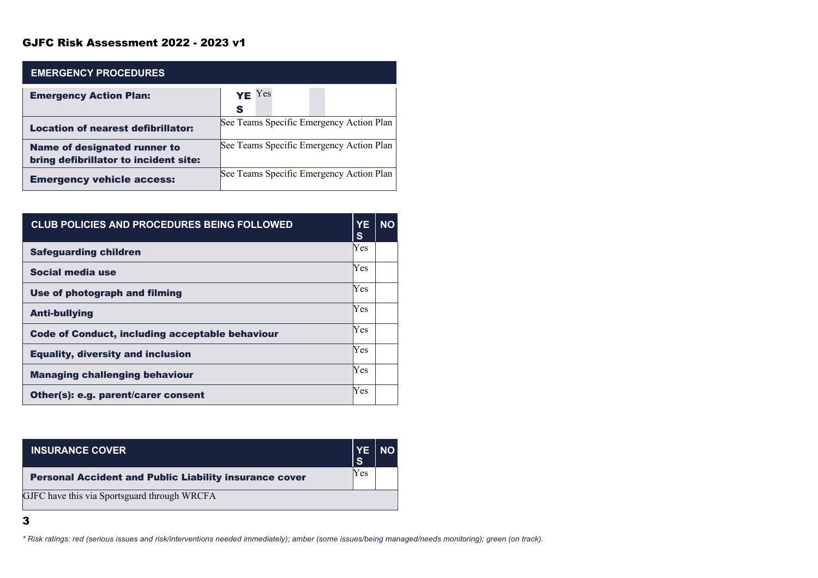| <b>EMERGENCY PROCEDURES</b>                                           |                                          |
|-----------------------------------------------------------------------|------------------------------------------|
| <b>Emergency Action Plan:</b>                                         | $YE$ Yes<br>S                            |
| <b>Location of nearest defibrillator:</b>                             | See Teams Specific Emergency Action Plan |
| Name of designated runner to<br>bring defibrillator to incident site: | See Teams Specific Emergency Action Plan |
| <b>Emergency vehicle access:</b>                                      | See Teams Specific Emergency Action Plan |

| <b>CLUB POLICIES AND PROCEDURES BEING FOLLOWED</b>     | <b>YE</b><br>S | <b>NO</b> |
|--------------------------------------------------------|----------------|-----------|
| <b>Safeguarding children</b>                           | Yes            |           |
| Social media use                                       | Yes            |           |
| Use of photograph and filming                          | <b>Yes</b>     |           |
| <b>Anti-bullying</b>                                   | Yes            |           |
| <b>Code of Conduct, including acceptable behaviour</b> | Yes            |           |
| <b>Equality, diversity and inclusion</b>               | Yes            |           |
| <b>Managing challenging behaviour</b>                  | Yes            |           |
| Other(s): e.g. parent/carer consent                    | Yes            |           |

| <b>INSURANCE COVER</b>                                        | <b>YE</b><br>l Si | <b>NO</b> |
|---------------------------------------------------------------|-------------------|-----------|
| <b>Personal Accident and Public Liability insurance cover</b> | Yes               |           |
| GJFC have this via Sportsguard through WRCFA                  |                   |           |

3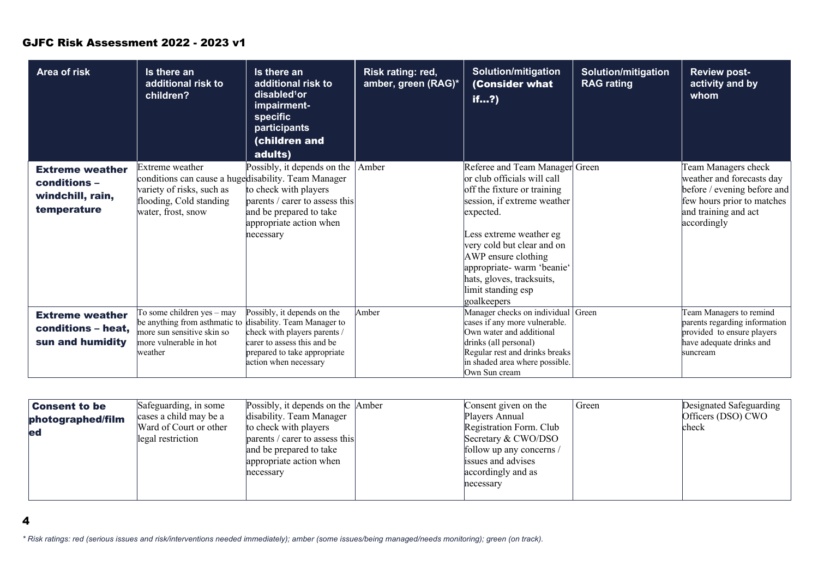| Area of risk                                                              | Is there an<br>additional risk to<br>children?                                                                                                                                 | Is there an<br>additional risk to<br>disabled <sup>1</sup> or<br>impairment-<br>specific<br>participants<br>(children and<br>adults)                      | Risk rating: red,<br>amber, green (RAG)* | <b>Solution/mitigation</b><br>(Consider what<br>if?                                                                                                                                                                                                                                                                     | <b>Solution/mitigation</b><br><b>RAG rating</b> | <b>Review post-</b><br>activity and by<br>whom                                                                                                       |
|---------------------------------------------------------------------------|--------------------------------------------------------------------------------------------------------------------------------------------------------------------------------|-----------------------------------------------------------------------------------------------------------------------------------------------------------|------------------------------------------|-------------------------------------------------------------------------------------------------------------------------------------------------------------------------------------------------------------------------------------------------------------------------------------------------------------------------|-------------------------------------------------|------------------------------------------------------------------------------------------------------------------------------------------------------|
| <b>Extreme weather</b><br>conditions -<br>windchill, rain,<br>temperature | Extreme weather<br>conditions can cause a hugedisability. Team Manager<br>variety of risks, such as<br>flooding, Cold standing<br>water, frost, snow                           | Possibly, it depends on the<br>to check with players<br>parents / carer to assess this<br>and be prepared to take<br>appropriate action when<br>necessary | Amber                                    | Referee and Team Manager Green<br>or club officials will call<br>off the fixture or training<br>session, if extreme weather<br>expected.<br>Less extreme weather eg<br>very cold but clear and on<br>AWP ensure clothing<br>appropriate-warm 'beanie'<br>hats, gloves, tracksuits,<br>limit standing esp<br>goalkeepers |                                                 | Team Managers check<br>weather and forecasts day<br>before / evening before and<br>few hours prior to matches<br>and training and act<br>accordingly |
| <b>Extreme weather</b><br>conditions - heat,<br>sun and humidity          | $\overline{\text{To some children yes - may}}$<br>be anything from asthmatic to disability. Team Manager to<br>more sun sensitive skin so<br>more vulnerable in hot<br>weather | Possibly, it depends on the<br>check with players parents /<br>carer to assess this and be<br>prepared to take appropriate<br>action when necessary       | Amber                                    | Manager checks on individual<br>cases if any more vulnerable.<br>Own water and additional<br>drinks (all personal)<br>Regular rest and drinks breaks<br>in shaded area where possible.<br>Own Sun cream                                                                                                                 | Green                                           | Team Managers to remind<br>parents regarding information<br>provided to ensure players<br>have adequate drinks and<br>suncream                       |

| <b>Consent to be</b> | Safeguarding, in some  | Possibly, it depends on the Amber | Consent given on the     | Green | Designated Safeguarding |
|----------------------|------------------------|-----------------------------------|--------------------------|-------|-------------------------|
| photographed/film    | cases a child may be a | disability. Team Manager          | Players Annual           |       | Officers (DSO) CWO      |
| led                  | Ward of Court or other | to check with players             | Registration Form. Club  |       | check                   |
|                      | legal restriction      | parents / carer to assess this    | Secretary & CWO/DSO      |       |                         |
|                      |                        | and be prepared to take           | follow up any concerns / |       |                         |
|                      |                        | appropriate action when           | issues and advises       |       |                         |
|                      |                        | necessary                         | accordingly and as       |       |                         |
|                      |                        |                                   | necessary                |       |                         |
|                      |                        |                                   |                          |       |                         |

4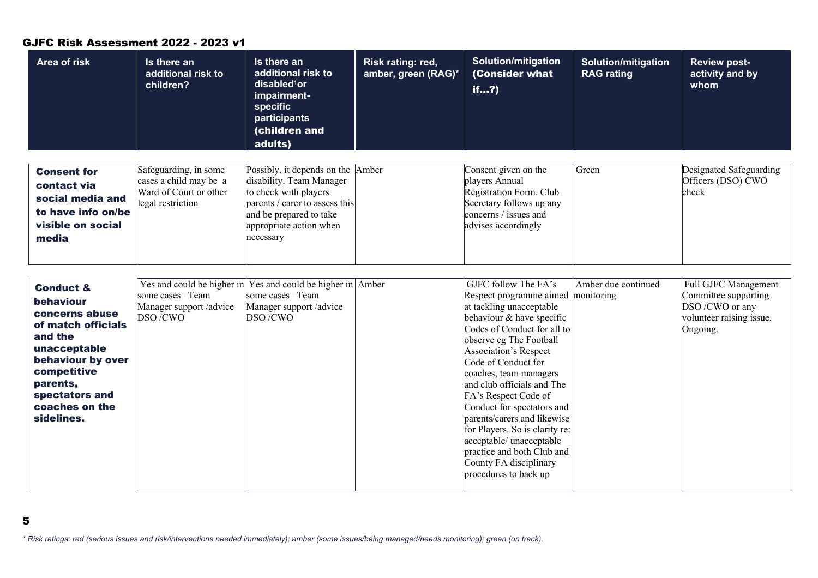| Area of risk                                                                                                                                                                                           | Is there an<br>additional risk to<br>children?                                                 | Is there an<br>additional risk to<br>disabled <sup>1</sup> or<br>impairment-<br>specific<br>participants<br>(children and<br>adults)                                                        | Risk rating: red,<br>amber, green (RAG)* | <b>Solution/mitigation</b><br>(Consider what<br>if?                                                                                                                                                                                                                                                                                                                                                                                                                                                                       | <b>Solution/mitigation</b><br><b>RAG</b> rating | <b>Review post-</b><br>activity and by<br>whom                                                                 |
|--------------------------------------------------------------------------------------------------------------------------------------------------------------------------------------------------------|------------------------------------------------------------------------------------------------|---------------------------------------------------------------------------------------------------------------------------------------------------------------------------------------------|------------------------------------------|---------------------------------------------------------------------------------------------------------------------------------------------------------------------------------------------------------------------------------------------------------------------------------------------------------------------------------------------------------------------------------------------------------------------------------------------------------------------------------------------------------------------------|-------------------------------------------------|----------------------------------------------------------------------------------------------------------------|
| <b>Consent for</b><br>contact via<br>social media and<br>to have info on/be<br>visible on social<br>media                                                                                              | Safeguarding, in some<br>cases a child may be a<br>Ward of Court or other<br>legal restriction | Possibly, it depends on the Amber<br>disability. Team Manager<br>to check with players<br>parents / carer to assess this<br>and be prepared to take<br>appropriate action when<br>necessary |                                          | Consent given on the<br>players Annual<br>Registration Form. Club<br>Secretary follows up any<br>concerns / issues and<br>advises accordingly                                                                                                                                                                                                                                                                                                                                                                             | Green                                           | Designated Safeguarding<br>Officers (DSO) CWO<br>check                                                         |
| <b>Conduct &amp;</b><br>behaviour<br>concerns abuse<br>of match officials<br>and the<br>unacceptable<br>behaviour by over<br>competitive<br>parents,<br>spectators and<br>coaches on the<br>sidelines. | some cases-Team<br>Manager support /advice<br>DSO/CWO                                          | Yes and could be higher in Yes and could be higher in Amber<br>some cases-Team<br>Manager support /advice<br>DSO/CWO                                                                        |                                          | GJFC follow The FA's<br>Respect programme aimed monitoring<br>at tackling unacceptable<br>behaviour & have specific<br>Codes of Conduct for all to<br>observe eg The Football<br>Association's Respect<br>Code of Conduct for<br>coaches, team managers<br>and club officials and The<br>FA's Respect Code of<br>Conduct for spectators and<br>parents/carers and likewise<br>for Players. So is clarity re:<br>acceptable/ unacceptable<br>practice and both Club and<br>County FA disciplinary<br>procedures to back up | Amber due continued                             | <b>Full GJFC Management</b><br>Committee supporting<br>DSO /CWO or any<br>volunteer raising issue.<br>Ongoing. |

*\* Risk ratings: red (serious issues and risk/interventions needed immediately); amber (some issues/being managed/needs monitoring); green (on track).*

5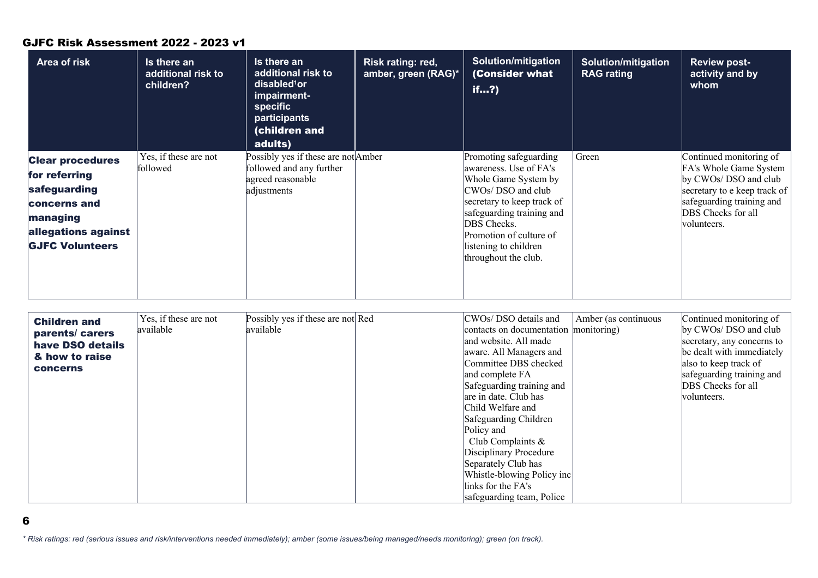| Area of risk                                                                                                                          | Is there an<br>additional risk to<br>children? | Is there an<br>additional risk to<br>disabled <sup>1</sup> or<br>impairment-<br><b>specific</b><br>participants<br><b>children and</b><br>adults) | Risk rating: red,<br>amber, green (RAG)* | <b>Solution/mitigation</b><br>(Consider what<br>if?                                                                                                                                                                                                  | <b>Solution/mitigation</b><br><b>RAG rating</b> | <b>Review post-</b><br>activity and by<br>whom                                                                                                                                |
|---------------------------------------------------------------------------------------------------------------------------------------|------------------------------------------------|---------------------------------------------------------------------------------------------------------------------------------------------------|------------------------------------------|------------------------------------------------------------------------------------------------------------------------------------------------------------------------------------------------------------------------------------------------------|-------------------------------------------------|-------------------------------------------------------------------------------------------------------------------------------------------------------------------------------|
| <b>Clear procedures</b><br>for referring<br>safeguarding<br>concerns and<br>managing<br>allegations against<br><b>GJFC Volunteers</b> | Yes, if these are not<br>followed              | Possibly yes if these are not Amber<br>followed and any further<br>agreed reasonable<br>adjustments                                               |                                          | Promoting safeguarding<br>awareness. Use of FA's<br>Whole Game System by<br>CWOs/ DSO and club<br>secretary to keep track of<br>safeguarding training and<br>DBS Checks.<br>Promotion of culture of<br>listening to children<br>throughout the club. | Green                                           | Continued monitoring of<br>FA's Whole Game System<br>by CWOs/ DSO and club<br>secretary to e keep track of<br>safeguarding training and<br>DBS Checks for all<br> volunteers. |

| <b>Children and</b> | Yes, if these are not | Possibly yes if these are not Red | CWOs/ DSO details and                 | Amber (as continuous | Continued monitoring of    |
|---------------------|-----------------------|-----------------------------------|---------------------------------------|----------------------|----------------------------|
| parents/ carers     | available             | available                         | contacts on documentation monitoring) |                      | by CWOs/ DSO and club      |
| have DSO details    |                       |                                   | and website. All made                 |                      | secretary, any concerns to |
| & how to raise      |                       |                                   | aware. All Managers and               |                      | be dealt with immediately  |
| <b>concerns</b>     |                       |                                   | Committee DBS checked                 |                      | also to keep track of      |
|                     |                       |                                   | and complete FA                       |                      | safeguarding training and  |
|                     |                       |                                   | Safeguarding training and             |                      | DBS Checks for all         |
|                     |                       |                                   | are in date. Club has                 |                      | volunteers.                |
|                     |                       |                                   | Child Welfare and                     |                      |                            |
|                     |                       |                                   | Safeguarding Children                 |                      |                            |
|                     |                       |                                   | Policy and                            |                      |                            |
|                     |                       |                                   | Club Complaints $\&$                  |                      |                            |
|                     |                       |                                   | Disciplinary Procedure                |                      |                            |
|                     |                       |                                   | Separately Club has                   |                      |                            |
|                     |                       |                                   | Whistle-blowing Policy inc            |                      |                            |
|                     |                       |                                   | links for the FA's                    |                      |                            |
|                     |                       |                                   | safeguarding team, Police             |                      |                            |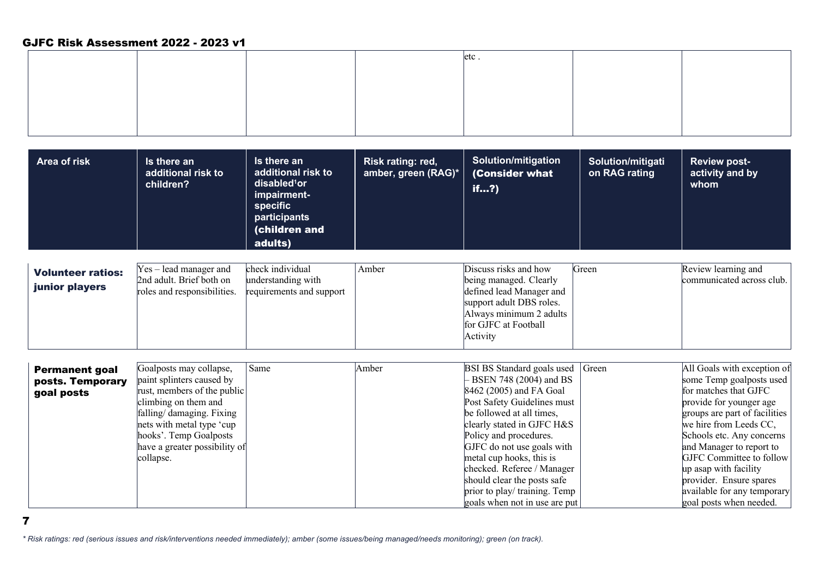|  | etc. |  |
|--|------|--|
|  |      |  |
|  |      |  |
|  |      |  |
|  |      |  |

| Area of risk | Is there an<br>additional risk to<br>children? | <b>Is there an</b><br>additional risk to<br>disabled <sup>1</sup> or<br>impairment-<br>specific<br>participants<br>(children and | Risk rating: red,<br>amber, green (RAG)*   (Consider what | <b>Solution/mitigation</b><br>if? | Solution/mitigati<br>on RAG rating | <b>Review post-</b><br>activity and by<br>whom |
|--------------|------------------------------------------------|----------------------------------------------------------------------------------------------------------------------------------|-----------------------------------------------------------|-----------------------------------|------------------------------------|------------------------------------------------|
|              |                                                | adults)                                                                                                                          |                                                           |                                   |                                    |                                                |

| <b>Volunteer ratios:</b> | Yes – lead manager and      | check individual         | Amber | Discuss risks and how    | Green | Review learning and       |
|--------------------------|-----------------------------|--------------------------|-------|--------------------------|-------|---------------------------|
|                          | 2nd adult. Brief both on    | understanding with       |       | being managed. Clearly   |       | communicated across club. |
| junior players           | roles and responsibilities. | requirements and support |       | defined lead Manager and |       |                           |
|                          |                             |                          |       | support adult DBS roles. |       |                           |
|                          |                             |                          |       | Always minimum 2 adults  |       |                           |
|                          |                             |                          |       | for GJFC at Football     |       |                           |
|                          |                             |                          |       | Activity                 |       |                           |

| <b>Permanent goal</b> | Goalposts may collapse,       | Same | Amber | <b>BSI BS Standard goals used Green</b> | All Goals with exception of   |
|-----------------------|-------------------------------|------|-------|-----------------------------------------|-------------------------------|
| posts. Temporary      | paint splinters caused by     |      |       | BSEN 748 (2004) and BS                  | some Temp goalposts used      |
| goal posts            | rust, members of the public   |      |       | 8462 (2005) and FA Goal                 | for matches that GJFC         |
|                       | climbing on them and          |      |       | Post Safety Guidelines must             | provide for younger age       |
|                       | falling/ damaging. Fixing     |      |       | be followed at all times,               | groups are part of facilities |
|                       | nets with metal type 'cup     |      |       | clearly stated in GJFC H&S              | we hire from Leeds CC,        |
|                       | hooks'. Temp Goalposts        |      |       | Policy and procedures.                  | Schools etc. Any concerns     |
|                       | have a greater possibility of |      |       | GJFC do not use goals with              | and Manager to report to      |
|                       | collapse.                     |      |       | metal cup hooks, this is                | GJFC Committee to follow      |
|                       |                               |      |       | checked. Referee / Manager              | up asap with facility         |
|                       |                               |      |       | should clear the posts safe             | provider. Ensure spares       |
|                       |                               |      |       | prior to play/ training. Temp           | available for any temporary   |
|                       |                               |      |       | goals when not in use are put           | goal posts when needed.       |

7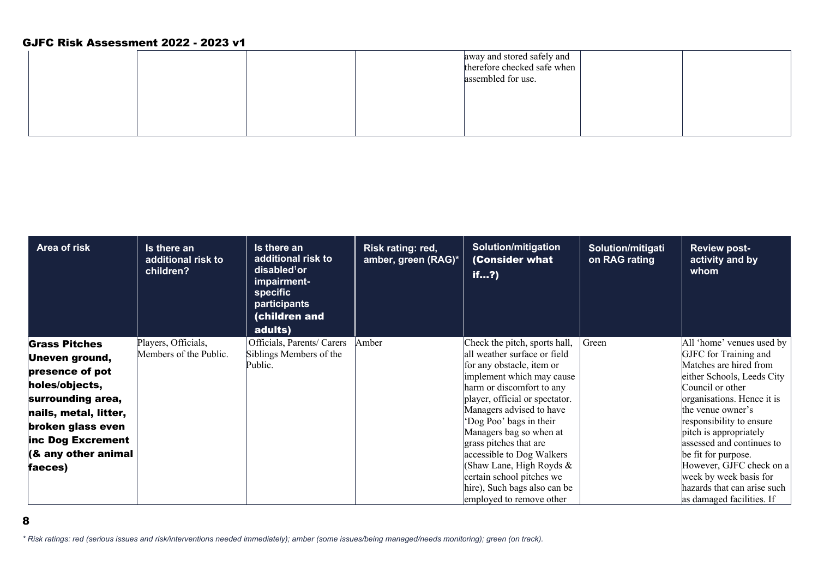|  |  | away and stored safely and<br>therefore checked safe when<br>assembled for use. |  |
|--|--|---------------------------------------------------------------------------------|--|
|  |  |                                                                                 |  |

| Area of risk             | Is there an<br>additional risk to<br>children? | Is there an<br>additional risk to<br>disabled <sup>1</sup> or<br>impairment-<br>specific<br>participants<br>(children and<br>adults) | Risk rating: red,<br>amber, green (RAG)* | <b>Solution/mitigation</b><br>(Consider what<br>if?    | Solution/mitigati<br>on RAG rating | <b>Review post-</b><br>activity and by<br>whom |
|--------------------------|------------------------------------------------|--------------------------------------------------------------------------------------------------------------------------------------|------------------------------------------|--------------------------------------------------------|------------------------------------|------------------------------------------------|
| <b>Grass Pitches</b>     | Players, Officials,                            | Officials, Parents/ Carers                                                                                                           | Amber                                    | Check the pitch, sports hall,                          | Green                              | All 'home' venues used by                      |
| <b>Uneven ground,</b>    | Members of the Public.                         | Siblings Members of the                                                                                                              |                                          | all weather surface or field                           |                                    | GJFC for Training and                          |
| presence of pot          |                                                | Public.                                                                                                                              |                                          | for any obstacle, item or                              |                                    | Matches are hired from                         |
| holes/objects,           |                                                |                                                                                                                                      |                                          | implement which may cause<br>harm or discomfort to any |                                    | either Schools, Leeds City<br>Council or other |
| surrounding area,        |                                                |                                                                                                                                      |                                          | player, official or spectator.                         |                                    | organisations. Hence it is                     |
| nails, metal, litter,    |                                                |                                                                                                                                      |                                          | Managers advised to have                               |                                    | the venue owner's                              |
|                          |                                                |                                                                                                                                      |                                          | 'Dog Poo' bags in their                                |                                    | responsibility to ensure                       |
| broken glass even        |                                                |                                                                                                                                      |                                          | Managers bag so when at                                |                                    | pitch is appropriately                         |
| inc Dog Excrement        |                                                |                                                                                                                                      |                                          | grass pitches that are                                 |                                    | assessed and continues to                      |
| $\ $ (& any other animal |                                                |                                                                                                                                      |                                          | accessible to Dog Walkers                              |                                    | be fit for purpose.                            |
| faeces)                  |                                                |                                                                                                                                      |                                          | Shaw Lane, High Royds &                                |                                    | However, GJFC check on a                       |
|                          |                                                |                                                                                                                                      |                                          | certain school pitches we                              |                                    | week by week basis for                         |
|                          |                                                |                                                                                                                                      |                                          | hire), Such bags also can be                           |                                    | hazards that can arise such                    |
|                          |                                                |                                                                                                                                      |                                          | employed to remove other                               |                                    | as damaged facilities. If                      |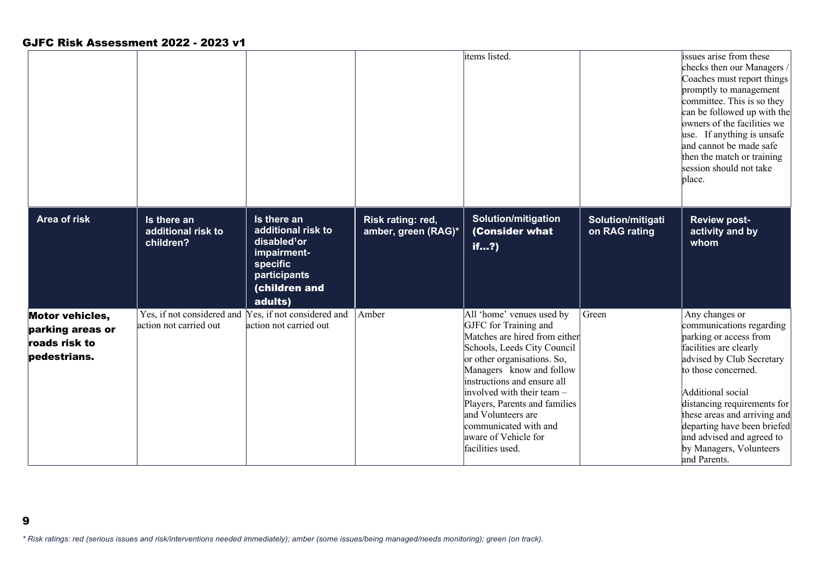9

|                                                                             |                                                |                                                                                                                                             |                                          | items listed.                                                                                                                                                                                                                                                                                                                                                          |                                    | issues arise from these<br>checks then our Managers<br>Coaches must report things<br>promptly to management<br>committee. This is so they<br>can be followed up with the<br>owners of the facilities we<br>use. If anything is unsafe<br>and cannot be made safe<br>then the match or training<br>session should not take<br>place.           |
|-----------------------------------------------------------------------------|------------------------------------------------|---------------------------------------------------------------------------------------------------------------------------------------------|------------------------------------------|------------------------------------------------------------------------------------------------------------------------------------------------------------------------------------------------------------------------------------------------------------------------------------------------------------------------------------------------------------------------|------------------------------------|-----------------------------------------------------------------------------------------------------------------------------------------------------------------------------------------------------------------------------------------------------------------------------------------------------------------------------------------------|
| <b>Area of risk</b>                                                         | Is there an<br>additional risk to<br>children? | Is there an<br>additional risk to<br>disabled <sup>1</sup> or<br>impairment-<br><b>specific</b><br>participants<br>(children and<br>adults) | Risk rating: red,<br>amber, green (RAG)* | <b>Solution/mitigation</b><br>(Consider what<br>if?                                                                                                                                                                                                                                                                                                                    | Solution/mitigati<br>on RAG rating | <b>Review post-</b><br>activity and by<br>whom                                                                                                                                                                                                                                                                                                |
| <b>Motor vehicles,</b><br>parking areas or<br>roads risk to<br>pedestrians. | action not carried out                         | Yes, if not considered and Yes, if not considered and<br>action not carried out                                                             | Amber                                    | All 'home' venues used by<br>GJFC for Training and<br>Matches are hired from either<br>Schools, Leeds City Council<br>or other organisations. So,<br>Managers know and follow<br>instructions and ensure all<br>involved with their team -<br>Players, Parents and families<br>and Volunteers are<br>communicated with and<br>aware of Vehicle for<br>facilities used. | Green                              | Any changes or<br>communications regarding<br>parking or access from<br>facilities are clearly<br>advised by Club Secretary<br>to those concerned.<br>Additional social<br>distancing requirements for<br>these areas and arriving and<br>departing have been briefed<br>and advised and agreed to<br>by Managers, Volunteers<br>and Parents. |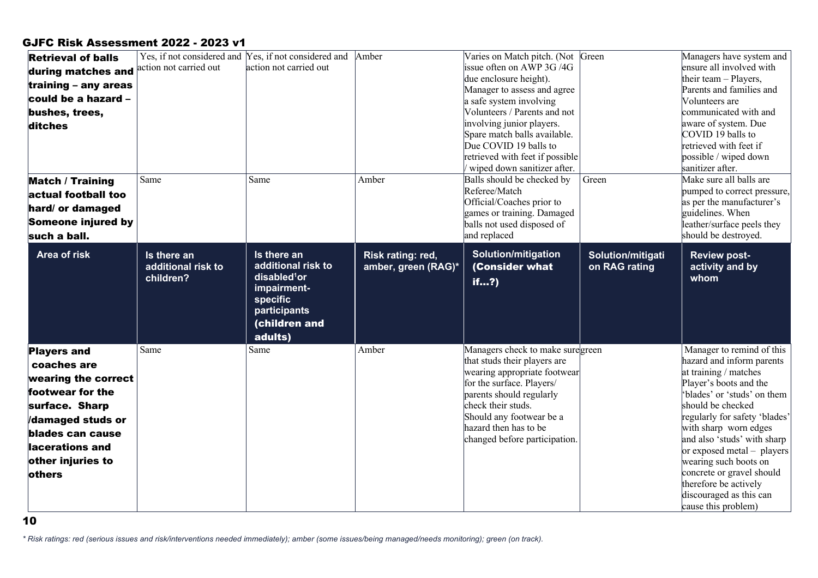| <b>Retrieval of balls</b><br>during matches and<br>training $-$ any areas<br>could be a hazard -<br>bushes, trees,<br>ditches                                                             | action not carried out                         | Yes, if not considered and Yes, if not considered and Amber<br>action not carried out                                                       |                                          | Varies on Match pitch. (Not Green<br>issue often on AWP 3G/4G<br>due enclosure height).<br>Manager to assess and agree<br>a safe system involving<br>Volunteers / Parents and not<br>involving junior players.<br>Spare match balls available.<br>Due COVID 19 balls to<br>retrieved with feet if possible<br>wiped down sanitizer after. |                                    | Managers have system and<br>ensure all involved with<br>their team - Players,<br>Parents and families and<br>Volunteers are<br>communicated with and<br>aware of system. Due<br>COVID 19 balls to<br>retrieved with feet if<br>possible / wiped down<br>sanitizer after.                                                                                                                                              |
|-------------------------------------------------------------------------------------------------------------------------------------------------------------------------------------------|------------------------------------------------|---------------------------------------------------------------------------------------------------------------------------------------------|------------------------------------------|-------------------------------------------------------------------------------------------------------------------------------------------------------------------------------------------------------------------------------------------------------------------------------------------------------------------------------------------|------------------------------------|-----------------------------------------------------------------------------------------------------------------------------------------------------------------------------------------------------------------------------------------------------------------------------------------------------------------------------------------------------------------------------------------------------------------------|
| <b>Match / Training</b><br>actual football too<br>hard/ or damaged<br>Someone injured by<br>such a ball.                                                                                  | Same                                           | Same                                                                                                                                        | Amber                                    | Balls should be checked by<br>Referee/Match<br>Official/Coaches prior to<br>games or training. Damaged<br>balls not used disposed of<br>and replaced                                                                                                                                                                                      | Green                              | Make sure all balls are<br>pumped to correct pressure,<br>as per the manufacturer's<br>guidelines. When<br>leather/surface peels they<br>should be destroyed.                                                                                                                                                                                                                                                         |
| Area of risk                                                                                                                                                                              | Is there an<br>additional risk to<br>children? | Is there an<br>additional risk to<br>disabled <sup>1</sup> or<br>impairment-<br><b>specific</b><br>participants<br>(children and<br>adults) | Risk rating: red,<br>amber, green (RAG)* | <b>Solution/mitigation</b><br>(Consider what<br>if?                                                                                                                                                                                                                                                                                       | Solution/mitigati<br>on RAG rating | <b>Review post-</b><br>activity and by<br>whom                                                                                                                                                                                                                                                                                                                                                                        |
| <b>Players and</b><br>coaches are<br>wearing the correct<br>footwear for the<br>surface. Sharp<br>/damaged studs or<br>blades can cause<br>lacerations and<br>other injuries to<br>others | Same                                           | Same                                                                                                                                        | Amber                                    | Managers check to make suregreen<br>that studs their players are<br>wearing appropriate footwear<br>for the surface. Players/<br>parents should regularly<br>check their studs.<br>Should any footwear be a<br>hazard then has to be<br>changed before participation.                                                                     |                                    | Manager to remind of this<br>hazard and inform parents<br>at training / matches<br>Player's boots and the<br>'blades' or 'studs' on them<br>should be checked<br>regularly for safety 'blades'<br>with sharp worn edges<br>and also 'studs' with sharp<br>or exposed metal - players<br>wearing such boots on<br>concrete or gravel should<br>therefore be actively<br>discouraged as this can<br>cause this problem) |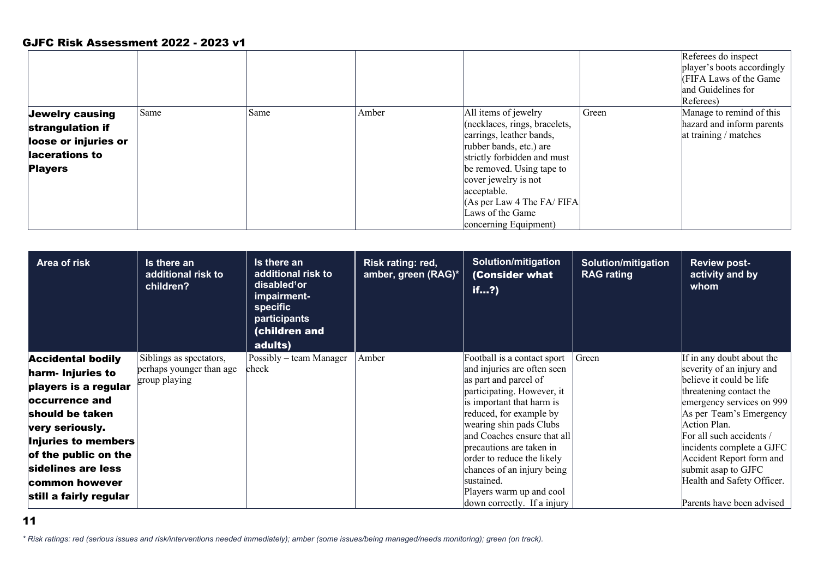|                        |      |      |       |                               |       | Referees do inspect<br>player's boots accordingly<br><b>FIFA Laws of the Game</b><br>and Guidelines for |
|------------------------|------|------|-------|-------------------------------|-------|---------------------------------------------------------------------------------------------------------|
|                        |      |      |       |                               |       | Referees)                                                                                               |
| <b>Jewelry causing</b> | Same | Same | Amber | All items of jewelry          | Green | Manage to remind of this                                                                                |
| strangulation if       |      |      |       | (necklaces, rings, bracelets, |       | hazard and inform parents                                                                               |
| loose or injuries or   |      |      |       | earrings, leather bands,      |       | at training / matches                                                                                   |
|                        |      |      |       | rubber bands, etc.) are       |       |                                                                                                         |
| lacerations to         |      |      |       | strictly forbidden and must   |       |                                                                                                         |
| <b>Players</b>         |      |      |       | be removed. Using tape to     |       |                                                                                                         |
|                        |      |      |       | cover jewelry is not          |       |                                                                                                         |
|                        |      |      |       | acceptable.                   |       |                                                                                                         |
|                        |      |      |       | (As per Law 4 The FA/FIFA)    |       |                                                                                                         |
|                        |      |      |       | Laws of the Game              |       |                                                                                                         |
|                        |      |      |       | concerning Equipment)         |       |                                                                                                         |

| <b>Area of risk</b>      | Is there an<br>additional risk to<br>children? | Is there an<br>additional risk to<br>disabled <sup>1</sup> or<br>impairment-<br><b>specific</b><br>participants<br>(children and<br>adults) | Risk rating: red,<br>amber, green (RAG)* | <b>Solution/mitigation</b><br>(Consider what<br>if? | <b>Solution/mitigation</b><br><b>RAG</b> rating | <b>Review post-</b><br>activity and by<br>whom |
|--------------------------|------------------------------------------------|---------------------------------------------------------------------------------------------------------------------------------------------|------------------------------------------|-----------------------------------------------------|-------------------------------------------------|------------------------------------------------|
| <b>Accidental bodily</b> | Siblings as spectators,                        | Possibly – team Manager                                                                                                                     | Amber                                    | Football is a contact sport                         | Green                                           | If in any doubt about the                      |
| harm- Injuries to        | perhaps younger than age                       | check                                                                                                                                       |                                          | and injuries are often seen                         |                                                 | severity of an injury and                      |
| players is a regular     | group playing                                  |                                                                                                                                             |                                          | as part and parcel of                               |                                                 | believe it could be life                       |
| <b>loccurrence and</b>   |                                                |                                                                                                                                             |                                          | participating. However, it                          |                                                 | threatening contact the                        |
|                          |                                                |                                                                                                                                             |                                          | is important that harm is                           |                                                 | emergency services on 999                      |
| should be taken          |                                                |                                                                                                                                             |                                          | reduced, for example by<br>wearing shin pads Clubs  |                                                 | As per Team's Emergency<br>Action Plan.        |
| very seriously.          |                                                |                                                                                                                                             |                                          | and Coaches ensure that all                         |                                                 | For all such accidents /                       |
| Injuries to members      |                                                |                                                                                                                                             |                                          | brecautions are taken in                            |                                                 | incidents complete a GJFC                      |
| of the public on the     |                                                |                                                                                                                                             |                                          | order to reduce the likely                          |                                                 | Accident Report form and                       |
| sidelines are less       |                                                |                                                                                                                                             |                                          | chances of an injury being                          |                                                 | submit asap to GJFC                            |
| common however           |                                                |                                                                                                                                             |                                          | sustained.                                          |                                                 | Health and Safety Officer.                     |
| still a fairly regular   |                                                |                                                                                                                                             |                                          | Players warm up and cool                            |                                                 |                                                |
|                          |                                                |                                                                                                                                             |                                          | down correctly. If a injury                         |                                                 | Parents have been advised                      |

11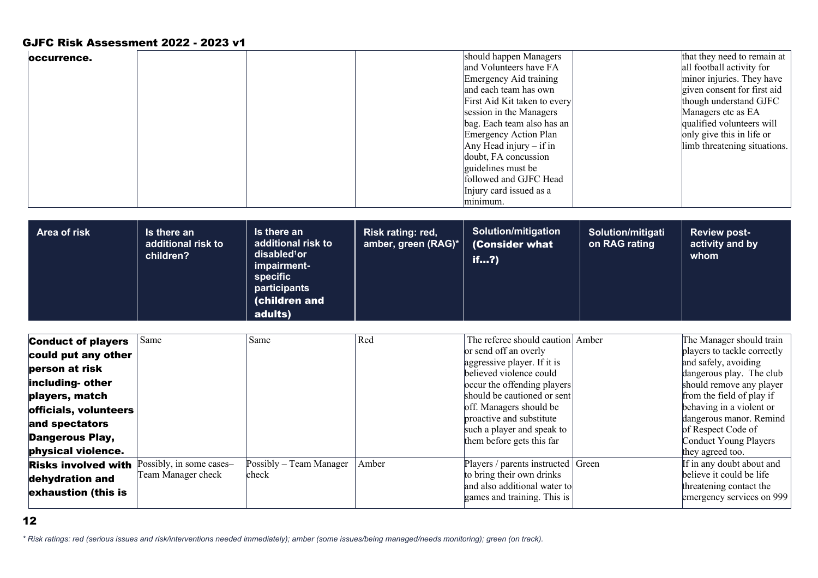| loccurrence.                                                                                                                                                          |                                                |                                                                                                                                             |                                          | should happen Managers<br>and Volunteers have FA<br>Emergency Aid training<br>and each team has own<br>First Aid Kit taken to every<br>session in the Managers<br>bag. Each team also has an<br><b>Emergency Action Plan</b><br>Any Head injury $-$ if in<br>doubt, FA concussion<br>guidelines must be<br>followed and GJFC Head<br>Injury card issued as a<br>minimum. |                                    | that they need to remain at<br>all football activity for<br>minor injuries. They have<br>given consent for first aid<br>though understand GJFC<br>Managers etc as EA<br>qualified volunteers will<br>only give this in life or<br>limb threatening situations. |
|-----------------------------------------------------------------------------------------------------------------------------------------------------------------------|------------------------------------------------|---------------------------------------------------------------------------------------------------------------------------------------------|------------------------------------------|--------------------------------------------------------------------------------------------------------------------------------------------------------------------------------------------------------------------------------------------------------------------------------------------------------------------------------------------------------------------------|------------------------------------|----------------------------------------------------------------------------------------------------------------------------------------------------------------------------------------------------------------------------------------------------------------|
| Area of risk                                                                                                                                                          | Is there an<br>additional risk to<br>children? | Is there an<br>additional risk to<br>disabled <sup>1</sup> or<br>impairment-<br><b>specific</b><br>participants<br>(children and<br>adults) | Risk rating: red,<br>amber, green (RAG)* | <b>Solution/mitigation</b><br>(Consider what<br>if?                                                                                                                                                                                                                                                                                                                      | Solution/mitigati<br>on RAG rating | <b>Review post-</b><br>activity and by<br>whom                                                                                                                                                                                                                 |
| <b>Conduct of players</b><br>could put any other<br>person at risk<br>including- other<br>players, match<br>officials, volunteers<br>and spectators<br>Dangerous Play | Same                                           | Same                                                                                                                                        | Red                                      | The referee should caution Amber<br>or send off an overly<br>aggressive player. If it is<br>believed violence could<br>occur the offending players<br>should be cautioned or sent<br>off. Managers should be<br>proactive and substitute<br>such a player and speak to                                                                                                   |                                    | The Manager should train<br>players to tackle correctly<br>and safely, avoiding<br>dangerous play. The club<br>should remove any player<br>from the field of play if<br>behaving in a violent or<br>dangerous manor. Remind<br>of Respect Code of              |

| anu speciaturs             |                          |                                   | such a player and speak to                                  | of Respect Code of                                   |
|----------------------------|--------------------------|-----------------------------------|-------------------------------------------------------------|------------------------------------------------------|
| <b>Dangerous Play,</b>     |                          |                                   | them before gets this far                                   | Conduct Young Players                                |
| physical violence.         |                          |                                   |                                                             | they agreed too.                                     |
| <b>Risks involved with</b> | Possibly, in some cases- | $Possibly - Team Manager$   Amber | Players / parents instructed   Green                        | If in any doubt about and                            |
| dehydration and            | Team Manager check       | check                             | to bring their own drinks                                   | believe it could be life                             |
| exhaustion (this is        |                          |                                   | and also additional water to<br>games and training. This is | threatening contact the<br>emergency services on 999 |
|                            |                          |                                   |                                                             |                                                      |

12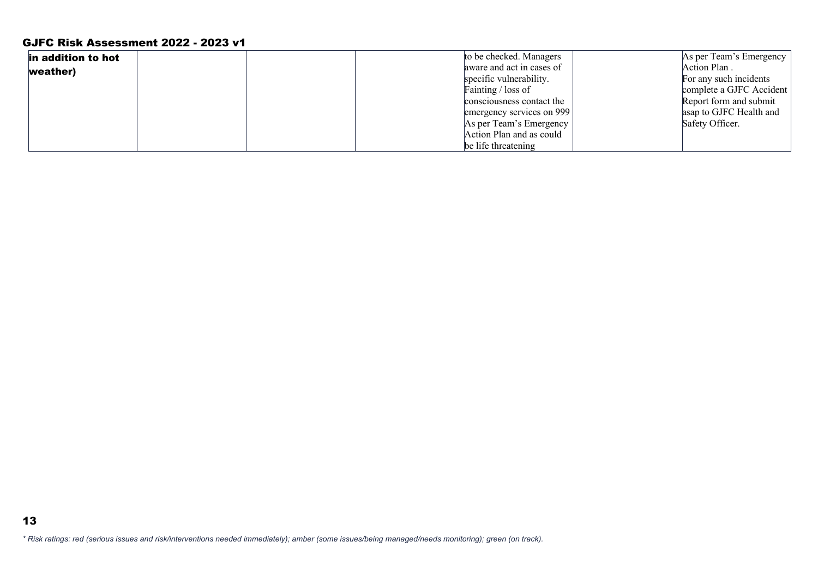| in addition to hot |  | to be checked. Managers   | As per Team's Emergency  |
|--------------------|--|---------------------------|--------------------------|
| weather)           |  | aware and act in cases of | Action Plan.             |
|                    |  | specific vulnerability.   | For any such incidents   |
|                    |  | Fainting / loss of        | complete a GJFC Accident |
|                    |  | consciousness contact the | Report form and submit   |
|                    |  | emergency services on 999 | asap to GJFC Health and  |
|                    |  | As per Team's Emergency   | Safety Officer.          |
|                    |  | Action Plan and as could  |                          |
|                    |  | be life threatening       |                          |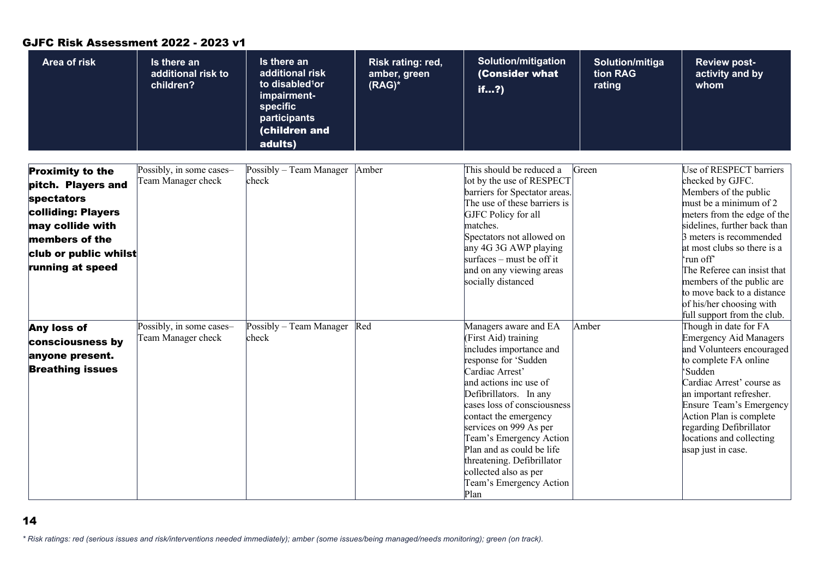#### **Area of risk Is there an additional risk to children? Is there an additional risk to disabled1or impairmentspecific participants**  (children and adults) **Risk rating: red, amber, green (RAG)\* Solution/mitigation** (Consider what if…?) **Solution/mitiga tion RAG rating Review postactivity and by whom** Proximity to the pitch. Players and spectators colliding: Players may collide with members of the club or public whilst running at speed Possibly, in some cases– Team Manager check Possibly – Team Manager check Amber This should be reduced a lot by the use of RESPECT barriers for Spectator areas. The use of these barriers is GJFC Policy for all matches. Spectators not allowed on any 4G 3G AWP playing surfaces – must be off it and on any viewing areas socially distanced Green Use of RESPECT barriers checked by GJFC. Members of the public must be a minimum of 2 meters from the edge of the sidelines, further back than 3 meters is recommended at most clubs so there is a 'run off' The Referee can insist that members of the public are to move back to a distance of his/her choosing with full support from the club. Any loss of consciousness by anyone present. Breathing issues Possibly, in some cases– Team Manager check Possibly – Team Manager check Red Managers aware and EA (First Aid) training includes importance and response for 'Sudden Cardiac Arrest' and actions inc use of Defibrillators. In any cases loss of consciousness contact the emergency services on 999 As per Team's Emergency Action Plan and as could be life threatening. Defibrillator collected also as per Team's Emergency Action Plan Amber Though in date for FA Emergency Aid Managers and Volunteers encouraged to complete FA online 'Sudden Cardiac Arrest' course as an important refresher. Ensure Team's Emergency Action Plan is complete regarding Defibrillator locations and collecting asap just in case.

#### GJFC Risk Assessment 2022 - 2023 v1

*\* Risk ratings: red (serious issues and risk/interventions needed immediately); amber (some issues/being managed/needs monitoring); green (on track).*

14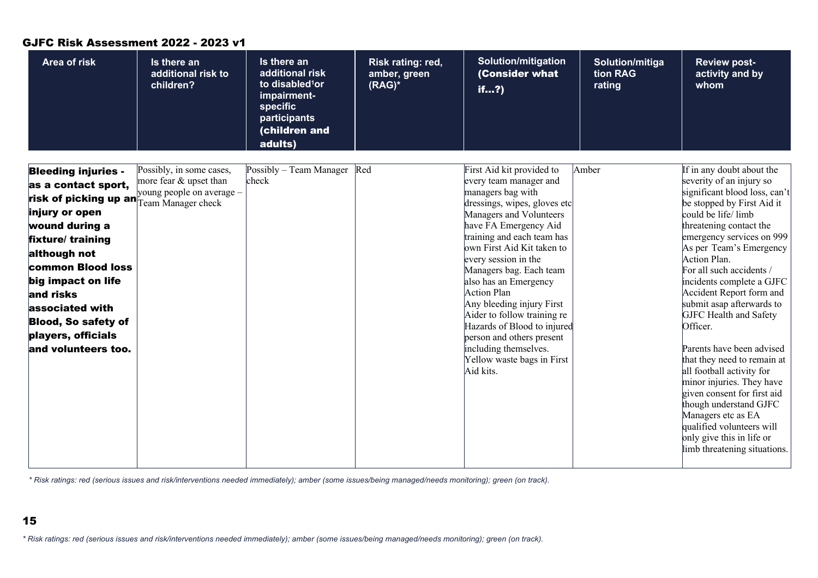| <b>Area of risk</b>                                                                                                                                                                                                                                                                                      | Is there an<br>additional risk to<br>children?                                                        | Is there an<br>additional risk<br>to disabled <sup>1</sup> or<br>impairment-<br>specific<br>participants | Risk rating: red,<br>amber, green<br>$(RAG)^*$ | <b>Solution/mitigation</b><br>(Consider what<br>if?                                                                                                                                                                                                                                                                                                                                                                                                                                                             | Solution/mitiga<br>tion RAG<br>rating | <b>Review post-</b><br>activity and by<br>whom                                                                                                                                                                                                                                                                                                                                                                                                                                                                                                                                                                                                                                                       |
|----------------------------------------------------------------------------------------------------------------------------------------------------------------------------------------------------------------------------------------------------------------------------------------------------------|-------------------------------------------------------------------------------------------------------|----------------------------------------------------------------------------------------------------------|------------------------------------------------|-----------------------------------------------------------------------------------------------------------------------------------------------------------------------------------------------------------------------------------------------------------------------------------------------------------------------------------------------------------------------------------------------------------------------------------------------------------------------------------------------------------------|---------------------------------------|------------------------------------------------------------------------------------------------------------------------------------------------------------------------------------------------------------------------------------------------------------------------------------------------------------------------------------------------------------------------------------------------------------------------------------------------------------------------------------------------------------------------------------------------------------------------------------------------------------------------------------------------------------------------------------------------------|
|                                                                                                                                                                                                                                                                                                          |                                                                                                       | (children and<br>adults)                                                                                 |                                                |                                                                                                                                                                                                                                                                                                                                                                                                                                                                                                                 |                                       |                                                                                                                                                                                                                                                                                                                                                                                                                                                                                                                                                                                                                                                                                                      |
| <b>Bleeding injuries -</b><br>as a contact sport,<br>risk of picking up an<br>injury or open<br>wound during a<br>fixture/training<br>although not<br>common Blood loss<br>big impact on life<br>and risks<br>associated with<br><b>Blood, So safety of</b><br>players, officials<br>and volunteers too. | Possibly, in some cases,<br>more fear & upset than<br>young people on average –<br>Team Manager check | Possibly - Team Manager Red<br>check                                                                     |                                                | First Aid kit provided to<br>every team manager and<br>managers bag with<br>dressings, wipes, gloves etc<br>Managers and Volunteers<br>have FA Emergency Aid<br>training and each team has<br>own First Aid Kit taken to<br>every session in the<br>Managers bag. Each team<br>also has an Emergency<br>Action Plan<br>Any bleeding injury First<br>Aider to follow training re<br>Hazards of Blood to injured<br>person and others present<br>including themselves.<br>Yellow waste bags in First<br>Aid kits. | Amber                                 | If in any doubt about the<br>severity of an injury so<br>significant blood loss, can't<br>be stopped by First Aid it<br>could be life/limb<br>threatening contact the<br>emergency services on 999<br>As per Team's Emergency<br>Action Plan.<br>For all such accidents /<br>incidents complete a GJFC<br>Accident Report form and<br>submit asap afterwards to<br>GJFC Health and Safety<br>Officer.<br>Parents have been advised<br>that they need to remain at<br>all football activity for<br>minor injuries. They have<br>given consent for first aid<br>though understand GJFC<br>Managers etc as EA<br>qualified volunteers will<br>only give this in life or<br>limb threatening situations. |

**C***\* Risk ratings: red (serious issues and risk/interventions needed immediately); amber (some issues/being managed/needs monitoring); green (on track).*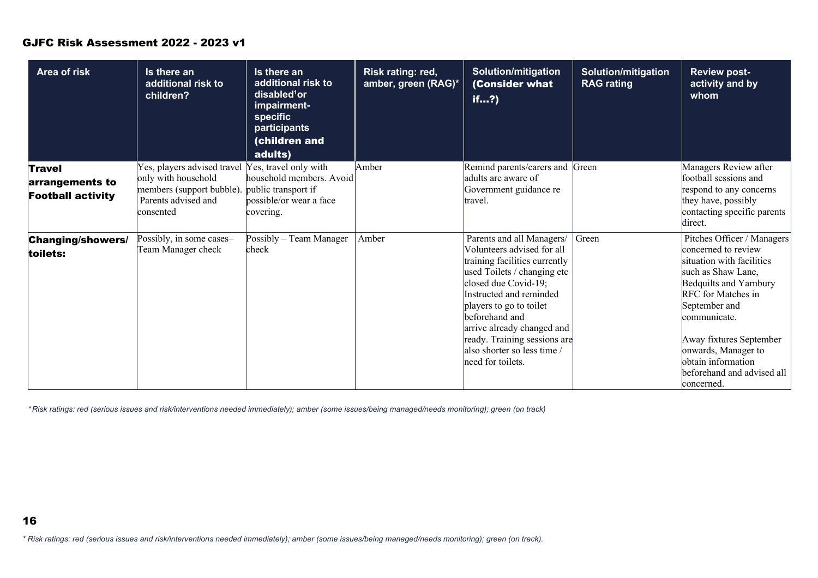| Area of risk                                | Is there an<br>additional risk to<br>children?                                       | Is there an<br>additional risk to<br>disabled <sup>1</sup> or<br>impairment-<br>specific<br>participants<br><b>(children and</b><br>adults) | Risk rating: red,<br>amber, green (RAG)* | <b>Solution/mitigation</b><br>(Consider what<br>if?                                                                                                                                                                                                                                                                                       | <b>Solution/mitigation</b><br><b>RAG</b> rating | <b>Review post-</b><br>activity and by<br>whom                                                                                                                                                                                                                                                            |
|---------------------------------------------|--------------------------------------------------------------------------------------|---------------------------------------------------------------------------------------------------------------------------------------------|------------------------------------------|-------------------------------------------------------------------------------------------------------------------------------------------------------------------------------------------------------------------------------------------------------------------------------------------------------------------------------------------|-------------------------------------------------|-----------------------------------------------------------------------------------------------------------------------------------------------------------------------------------------------------------------------------------------------------------------------------------------------------------|
| <b>Travel</b>                               | Yes, players advised travel Yes, travel only with                                    |                                                                                                                                             | Amber                                    | Remind parents/carers and Green                                                                                                                                                                                                                                                                                                           |                                                 | Managers Review after                                                                                                                                                                                                                                                                                     |
| arrangements to<br><b>Football activity</b> | only with household<br>members (support bubble).<br>Parents advised and<br>consented | household members. Avoid<br>public transport if<br>possible/or wear a face<br>covering.                                                     |                                          | adults are aware of<br>Government guidance re<br>travel.                                                                                                                                                                                                                                                                                  |                                                 | football sessions and<br>respond to any concerns<br>they have, possibly<br>contacting specific parents<br>direct.                                                                                                                                                                                         |
| <b>Changing/showers/</b><br>toilets:        | Possibly, in some cases-<br>Team Manager check                                       | Possibly – Team Manager<br>check                                                                                                            | Amber                                    | Parents and all Managers/<br>Volunteers advised for all<br>training facilities currently<br>used Toilets / changing etc<br>closed due Covid-19;<br>Instructed and reminded<br>players to go to toilet<br>beforehand and<br>arrive already changed and<br>ready. Training sessions are<br>also shorter so less time /<br>need for toilets. | Green                                           | Pitches Officer / Managers<br>concerned to review<br>situation with facilities<br>such as Shaw Lane,<br>Bedquilts and Yarnbury<br>RFC for Matches in<br>September and<br>communicate.<br>Away fixtures September<br>onwards, Manager to<br>obtain information<br>beforehand and advised all<br>concerned. |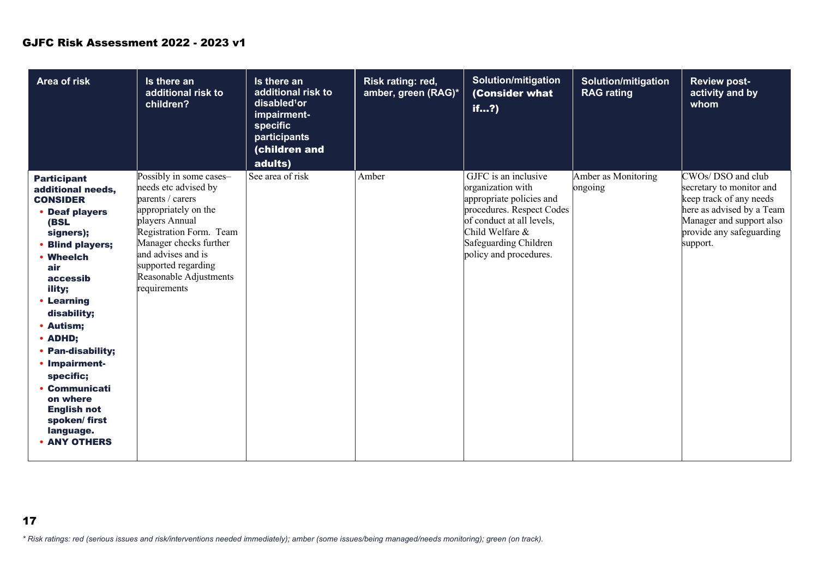| <b>Area of risk</b>                                                                                                                                                                                                                                                                                                                                                                 | Is there an<br>additional risk to<br>children?                                                                                                                                                                                                            | Is there an<br>additional risk to<br>disabled <sup>1</sup> or<br>impairment-<br>specific<br>participants<br>(children and<br>adults) | Risk rating: red,<br>amber, green (RAG)* | <b>Solution/mitigation</b><br>(Consider what<br>if?                                                                                                                                                   | <b>Solution/mitigation</b><br><b>RAG</b> rating | <b>Review post-</b><br>activity and by<br>whom                                                                                                                            |
|-------------------------------------------------------------------------------------------------------------------------------------------------------------------------------------------------------------------------------------------------------------------------------------------------------------------------------------------------------------------------------------|-----------------------------------------------------------------------------------------------------------------------------------------------------------------------------------------------------------------------------------------------------------|--------------------------------------------------------------------------------------------------------------------------------------|------------------------------------------|-------------------------------------------------------------------------------------------------------------------------------------------------------------------------------------------------------|-------------------------------------------------|---------------------------------------------------------------------------------------------------------------------------------------------------------------------------|
| <b>Participant</b><br>additional needs,<br><b>CONSIDER</b><br>• Deaf players<br>(BSL<br>signers);<br>• Blind players;<br>• Wheelch<br>air<br>accessib<br>ility;<br>• Learning<br>disability;<br>• Autism;<br>• ADHD;<br>• Pan-disability;<br>• Impairment-<br>specific;<br><b>Communicati</b><br>on where<br><b>English not</b><br>spoken/first<br>language.<br><b>• ANY OTHERS</b> | Possibly in some cases-<br>needs etc advised by<br>parents / carers<br>appropriately on the<br>players Annual<br>Registration Form. Team<br>Manager checks further<br>and advises and is<br>supported regarding<br>Reasonable Adjustments<br>requirements | See area of risk                                                                                                                     | Amber                                    | GJFC is an inclusive<br>organization with<br>appropriate policies and<br>procedures. Respect Codes<br>of conduct at all levels,<br>Child Welfare &<br>Safeguarding Children<br>policy and procedures. | Amber as Monitoring<br>ongoing                  | CWOs/DSO and club<br>secretary to monitor and<br>keep track of any needs<br>here as advised by a Team<br>Manager and support also<br>provide any safeguarding<br>support. |

- *\* Risk ratings: red (serious issues and risk/interventions needed immediately); amber (some issues/being managed/needs monitoring); green (on track).*
- 17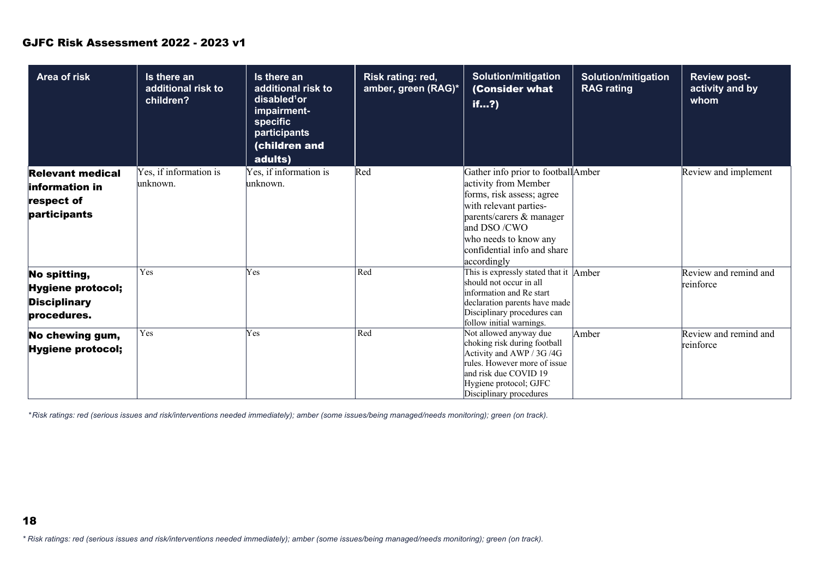| Area of risk                                                                    | Is there an<br>additional risk to<br>children? | Is there an<br>additional risk to<br>disabled <sup>1</sup> or<br>impairment-<br>specific<br>participants<br><b>children and</b><br>adults) | Risk rating: red,<br>amber, green (RAG)* | <b>Solution/mitigation</b><br>(Consider what<br>if?                                                                                                                                                                                 | <b>Solution/mitigation</b><br><b>RAG rating</b> | <b>Review post-</b><br>activity and by<br>whom |
|---------------------------------------------------------------------------------|------------------------------------------------|--------------------------------------------------------------------------------------------------------------------------------------------|------------------------------------------|-------------------------------------------------------------------------------------------------------------------------------------------------------------------------------------------------------------------------------------|-------------------------------------------------|------------------------------------------------|
| <b>Relevant medical</b><br><b>linformation in</b><br>respect of<br>participants | Yes, if information is<br>lunknown.            | Yes, if information is<br>lunknown.                                                                                                        | Red                                      | Gather info prior to footballAmber<br>activity from Member<br>forms, risk assess; agree<br>with relevant parties-<br>parents/carers & manager<br>and DSO/CWO<br>who needs to know any<br>confidential info and share<br>accordingly |                                                 | Review and implement                           |
| No spitting,<br><b>Hygiene protocol;</b><br><b>Disciplinary</b><br>procedures.  | Yes                                            | Yes                                                                                                                                        | Red                                      | This is expressly stated that it Amber<br>should not occur in all<br>information and Re start<br>declaration parents have made<br>Disciplinary procedures can<br>follow initial warnings.                                           |                                                 | Review and remind and<br>reinforce             |
| No chewing gum,<br><b>Hygiene protocol;</b>                                     | Yes                                            | Yes                                                                                                                                        | Red                                      | Not allowed anyway due<br>choking risk during football<br>Activity and AWP / 3G /4G<br>rules. However more of issue<br>and risk due COVID 19<br>Hygiene protocol; GJFC<br>Disciplinary procedures                                   | Amber                                           | Review and remind and<br>reinforce             |

*\* Risk ratings: red (serious issues and risk/interventions needed immediately); amber (some issues/being managed/needs monitoring); green (on track).*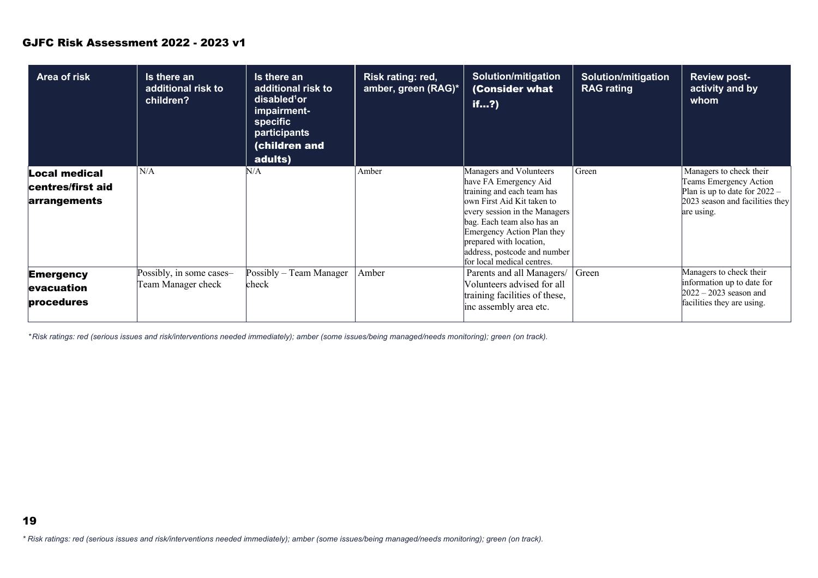| Area of risk                                              | Is there an<br>additional risk to<br>children? | Is there an<br>additional risk to<br>disabled <sup>1</sup> or<br>impairment-<br><b>specific</b><br>participants<br>(children and<br>adults) | Risk rating: red,<br>amber, green (RAG)* | <b>Solution/mitigation</b><br><b>Consider what</b><br>if?)                                                                                                                                                                                                                                         | <b>Solution/mitigation</b><br><b>RAG</b> rating | <b>Review post-</b><br>activity and by<br>whom                                                                                        |
|-----------------------------------------------------------|------------------------------------------------|---------------------------------------------------------------------------------------------------------------------------------------------|------------------------------------------|----------------------------------------------------------------------------------------------------------------------------------------------------------------------------------------------------------------------------------------------------------------------------------------------------|-------------------------------------------------|---------------------------------------------------------------------------------------------------------------------------------------|
| <b>Local medical</b><br>centres/first aid<br>arrangements | N/A                                            | N/A                                                                                                                                         | Amber                                    | Managers and Volunteers<br>have FA Emergency Aid<br>training and each team has<br>own First Aid Kit taken to<br>every session in the Managers<br>bag. Each team also has an<br>Emergency Action Plan they<br>prepared with location,<br>address, postcode and number<br>for local medical centres. | Green                                           | Managers to check their<br>Teams Emergency Action<br>Plan is up to date for $2022 -$<br>2023 season and facilities they<br>are using. |
| <b>Emergency</b><br><b>levacuation</b><br>procedures      | Possibly, in some cases-<br>Team Manager check | Possibly – Team Manager<br>check                                                                                                            | Amber                                    | Parents and all Managers/<br>Volunteers advised for all<br>training facilities of these,<br>inc assembly area etc.                                                                                                                                                                                 | Green                                           | Managers to check their<br>information up to date for<br>$2022 - 2023$ season and<br>facilities they are using.                       |

*\* Risk ratings: red (serious issues and risk/interventions needed immediately); amber (some issues/being managed/needs monitoring); green (on track).*

*\* Risk ratings: red (serious issues and risk/interventions needed immediately); amber (some issues/being managed/needs monitoring); green (on track).*

19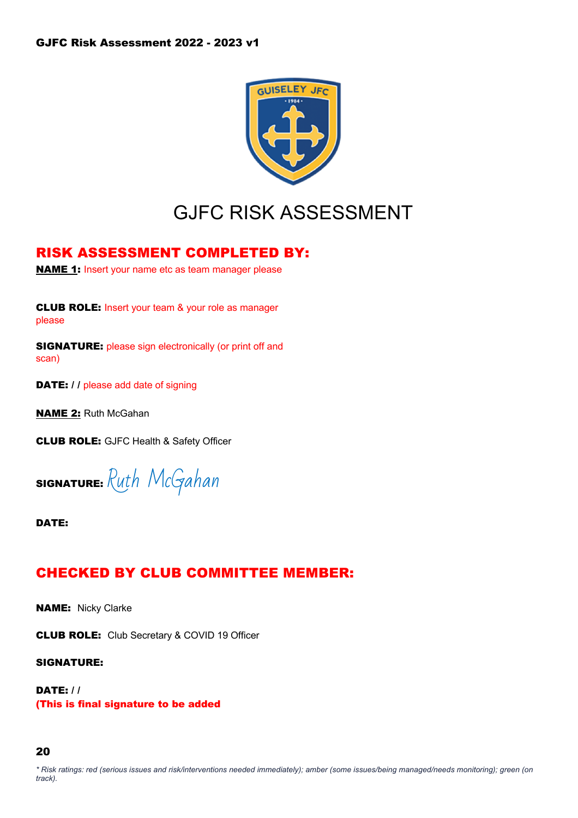

# GJFC RISK ASSESSMENT

### RISK ASSESSMENT COMPLETED BY:

**NAME 1:** Insert your name etc as team manager please

CLUB ROLE: Insert your team & your role as manager please

SIGNATURE: please sign electronically (or print off and scan)

DATE: // please add date of signing

**NAME 2: Ruth McGahan** 

CLUB ROLE: GJFC Health & Safety Officer

SIGNATURE: Ruth McGahan

DATE:

### CHECKED BY CLUB COMMITTEE MEMBER:

**NAME:** Nicky Clarke

CLUB ROLE: Club Secretary & COVID 19 Officer

SIGNATURE:

DATE: / / (This is final signature to be added

#### 20